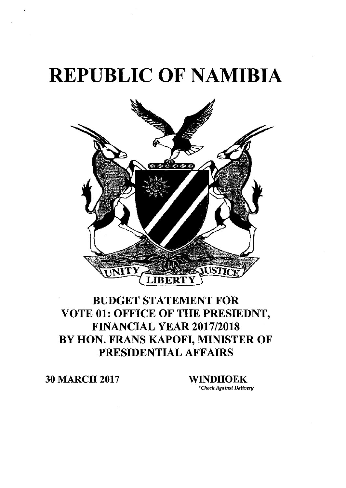## **REPUBLIC OF NAMIBIA**



## BUDGET STATEMENT FOR **VOTE 01: OFFICE OF THE PRESIEDNT, FINANCIAL YEAR 2017/2018 BY HON. FRANS KAPOFI, MINISTER OF PRESIDENTIAL AFFAIRS**

**30 MARCH 2017 WINDHOEK**

*"Check:Against Delivery*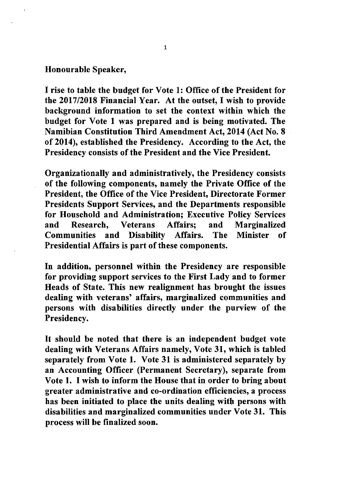## Honourable Speaker,

I rise to table the budget for Vote 1: Office of the President for the *2017/2018* Financial Year. At the outset, I wish to provide background information to set the context within which the budget for Vote 1 was prepared and is being motivated. The Namibian Constitution Third Amendment Act, 2014 (Act No.8 of 2014), established the Presidency. According to the Act, the Presidency consists of the President and the Vice President.

Organizationally and administratively, the Presidency consists of the following components, namely the Private Office of the President, the Office of the Vice President, Directorate Former Presidents Support Services, and the Departments responsible for Household and Administration; Executive Policy Services and Research, Veterans Affairs; and Marginalized Communities and Disability Affairs. The Minister of Presidential Affairs is part of these components.

In addition, personnel within the Presidency are responsible for providing support services to the First Lady and to former Heads of State. This new realignment has brought the issues dealing with veterans' affairs, marginalized communities and persons with disabilities directly under the purview of the Presidency.

It should be noted that there is an independent budget vote dealing with Veterans Affairs namely, Vote 31, which is tabled separately from Vote 1. Vote 31 is administered separately by an Accounting Officer (Permanent Secretary), separate from Vote 1. I wish to inform the House that in order to bring about greater administrative and co-ordination efficiencies, a process has been initiated to place the units dealing with persons with disabilities and marginalized communities under Vote 31. This process will be finalized soon.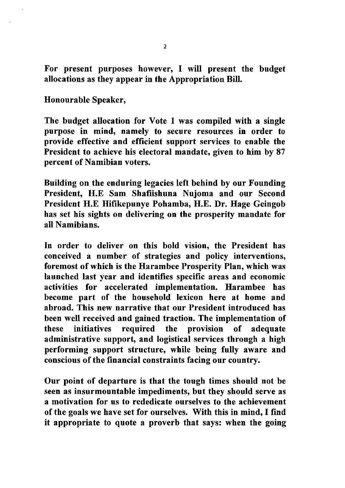For present purposes however, I will present the budget allocations as they appear in the Appropriation Bill.

Honourable Speaker,

The budget allocation for Vote 1 was compiled with a single purpose in mind, namely to secure resources in order to provide effective and efficient support services to enable the President to achieve his electoral mandate, given to him by 87 percent of Namibian voters.

Building on the enduring legacies left behind by our Founding President, H.E Sam Shafiishuna Nujoma and our Second President H.E Hifikepunye Pohamba, H.E. Dr. Hage Geingob has set his sights on delivering on the prosperity mandate for all Namibians.

In order to deliver on this bold vision, the President has conceived a number of strategies and policy interventions, foremost of which is the Harambee Prosperity Plan, which was launched last year and identifies specific areas and economic activities for accelerated implementation. Harambee has become part of the household lexicon here at home and abroad. This new narrative that our President introduced has been well received and gained traction. The implementation of these initiatives required the provision of adequate administrative support, and logistical services through a high performing support structure, while being fully aware and conscious of the financial constraints facing our country.

Our point of departure is that the tough times should not be seen as insurmountable impediments, but they should serve as a motivation for us to rededicate ourselves to the achievement of the goals we have set for ourselves. With this in mind, I find it appropriate to quote a proverb that says: when the going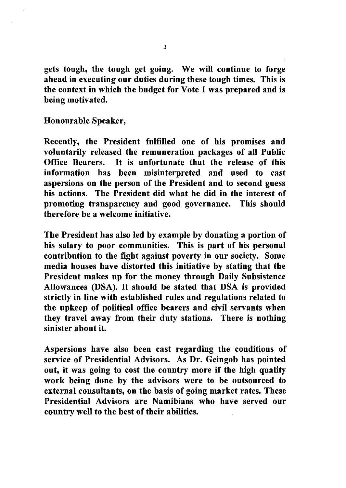gets tough, the tough get going. We will continue to forge ahead in executing our duties during these tough times. This is the context in which the budget for Vote 1 was prepared and is being motivated.

Honourable Speaker,

Recently, the President fulfilled one of his promises and voluntarily released the remuneration packages of all Public Office Bearers. It is unfortunate that the release of this information has been misinterpreted and used to cast aspersions on the person of the President and to second guess his actions. The President did what he did in the interest of promoting transparency and good governance. This should therefore be a welcome initiative.

The President has also led by example by donating a portion of his salary to poor communities. This is part of his personal contribution to the fight against poverty in our society. Some media houses have distorted this initiative by stating that the President makes up for the money through Daily Subsistence Allowances (DSA). It should be stated that DSA is provided strictly in line with established rules and regulations related to the upkeep of political office bearers and civil servants when they travel away from their duty stations. There is nothing sinister about it.

Aspersions have also been cast regarding the conditions of service of Presidential Advisors. As Dr. Geingob has pointed out, it was going to cost the country more if the high quality work being done by the advisors were to be outsourced to external consultants, on the basis of going market rates. These Presidential Advisors are Namibians who have served our country well to the best of their abilities.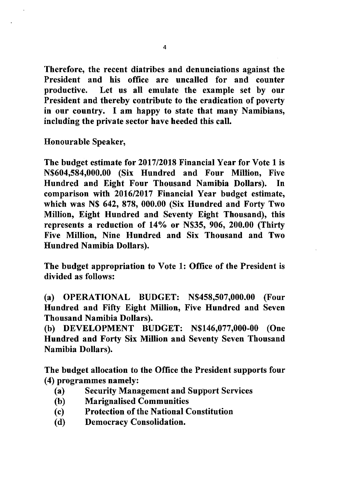Therefore, the recent diatribes and denunciations against the President and his office are uncalled for and counter productive. Let us all emulate the example set by our President and thereby contribute to the eradication of poverty in our country. I am happy to state that many Namibians, including the private sector have heeded this call.

Honourable Speaker,

The budget estimate for 2017/2018 Financial Year for Vote 1 is N\$604,584,000.00 (Six Hundred and Four Million, Five Hundred and Eight Four Thousand Namibia Dollars). In comparison with 2016/2017 Financial Year budget estimate, which was N\$ 642, 878, 000.00 (Six Hundred and Forty Two Million, Eight Hundred and Seventy Eight Thousand), this represents a reduction of *14%* or N\$35, 906, 200.00 (Thirty Five Million, Nine Hundred and Six Thousand and Two Hundred Namibia Dollars).

The budget appropriation to Vote 1: Office of the President is divided as follows:

(a) OPERATIONAL BUDGET: N\$458,507,000.00 (Four Hundred and Fifty Eight Million, Five Hundred and Seven Thousand Namibia Dollars).

(b) DEVELOPMENT BUDGET: N\$146,077,000-00 (One Hundred and Forty Six Million and Seventy Seven Thousand Namibia Dollars).

The budget allocation to the Office the President supports four (4) programmes namely:

- (a) Security Management and Support Services
- (b) Marignalised Communities
- (c) Protection of the National Constitution
- (d) Democracy Consolidation.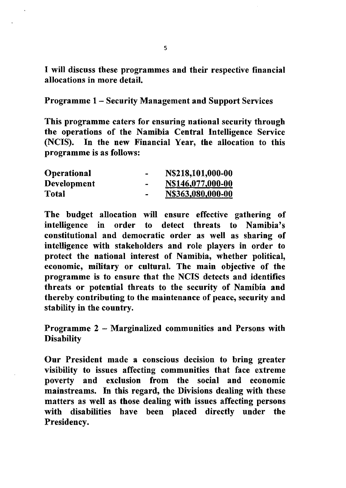I will discuss these programmes and their respective financial allocations in more detail.

Programme 1- Security Management and Support Services

This programme caters for ensuring national security through the operations of the Namibia Central Intelligence Service (NCIS). In the new Financial Year, the allocation to this programme is as follows:

| Operational        | $\,$                     | N\$218,101,000-00 |
|--------------------|--------------------------|-------------------|
| <b>Development</b> | $\overline{\phantom{a}}$ | N\$146,077,000-00 |
| Total              | $\overline{\phantom{0}}$ | N\$363,080,000-00 |

The budget allocation will ensure effective gathering of intelligence in order to detect threats to Namibia's constitutional and democratic order as well as sharing of intelligence with stakeholders and role players in order to protect the national interest of Namibia, whether political, economic, military or cultural. The main objective of the programme is to ensure that the NCIS detects and identifies threats or potential threats to the security of Namibia and thereby contributing to the maintenance of peace, security and stability in the country.

Programme 2 - Marginalized communities and Persons with **Disability** 

Our President made a conscious decision to bring greater visibility to issues affecting communities that face extreme poverty and exclusion from the social and economic mainstreams. In this regard, the Divisions dealing with these matters as well as those dealing with issues affecting persons with disabilities have been placed directly under the Presidency.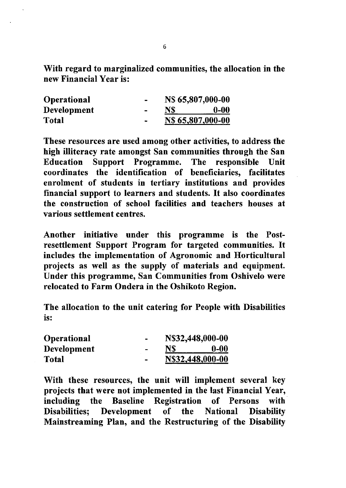With regard to marginalized communities, the allocation in the new Financial Year is:

| <b>Operational</b> |                |     | N\$ 65,807,000-00 |  |
|--------------------|----------------|-----|-------------------|--|
| Development        | $\blacksquare$ | NS. | $0-00$            |  |
| Total              |                |     | N\$ 65,807,000-00 |  |

These resources are used among other activities, to address the high illiteracy rate amongst San communities through the San Education Support Programme. The responsible Unit coordinates the identification of beneficiaries, facilitates enrolment of students in tertiary institutions and provides financial support to learners and students. It also coordinates the construction of school facilities and teachers houses at various settlement centres.

Another initiative under this programme is the Postresettlement Support Program for targeted communities. It includes the implementation of Agronomic and Horticultural projects as well as the supply of materials and equipment. Under this programme, San Communities from Oshivelo were relocated to Farm Ondera in the Oshikoto Region.

The allocation to the unit catering for People with Disabilities . IS:

| Operational        |                          | N\$32,448,000-00 |          |
|--------------------|--------------------------|------------------|----------|
| <b>Development</b> | $\sim$                   | NS               | $0 - 00$ |
| Total              | $\overline{\phantom{0}}$ | N\$32,448,000-00 |          |

With these resources, the unit will implement several key projects that were not implemented in the last Financial Year, including the Baseline Registration of Persons with Disabilities; Development of the National Disability Mainstreaming Plan, and the Restructuring of the Disability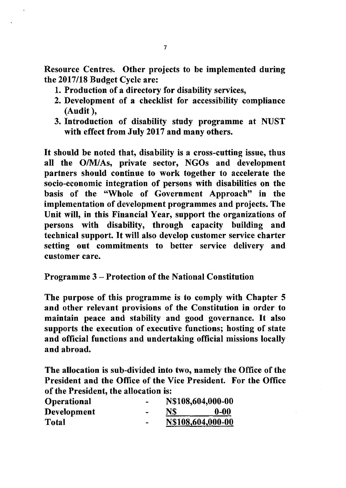Resource Centres. Other projects to be implemented during the *2017/18* Budget Cycle are:

- 1. Production of a directory for disability services,
- 2. Development of a checklist for accessibility compliance (Audit ),
- 3. Introduction of disability study programme at NUST with effect from July 2017 and many others.

It should be noted that, disability is a cross-cutting issue, thus all the *OIMIAs,* private sector, NGOs and development partners should continue to work together to accelerate the socio-economic integration of persons with disabilities on the basis of the "Whole of Government Approach" in the implementation of development programmes and projects. The Unit will, in this Financial Year, support the organizations of persons with disability, through capacity building and technical support. It will also develop customer service charter setting out commitments to better service delivery and customer care.

## Programme 3 - Protection of the National Constitution

The purpose of this programme is to comply with Chapter 5 and other relevant provisions of the Constitution in order to maintain peace and stability and good governance. It also supports the execution of executive functions; hosting of state and official functions and undertaking official missions locally and abroad.

The allocation is sub-divided into two, namely the Office of the President and the Office of the Vice President. For the Office of the President, the allocation is:

| <b>Operational</b> |           | N\$108,604,000-00 |          |
|--------------------|-----------|-------------------|----------|
| <b>Development</b> | <b>BM</b> | <b>NS</b>         | $0 - 00$ |
| Total              | -         | N\$108,604,000-00 |          |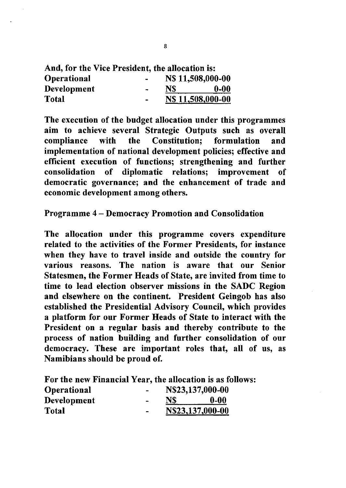| And, for the Vice President, the allocation is: |               |                   |                   |
|-------------------------------------------------|---------------|-------------------|-------------------|
| <b>Operational</b>                              |               | N\$ 11,508,000-00 |                   |
| <b>Development</b>                              | $\rightarrow$ | N\$               | $0-00$            |
| <b>Total</b>                                    | $\rightarrow$ |                   | N\$ 11,508,000-00 |

The execution of the budget allocation under this programmes aim to achieve several Strategic Outputs such as overall compliance with the Constitution; formulation and implementation of national development policies; effective and efficient execution of functions; strengthening and further consolidation of diplomatic relations; improvement of democratic governance; and the enhancement of trade and economic development among others.

Programme 4 - Democracy Promotion and Consolidation

The allocation under this programme covers expenditure related to the activities of the Former Presidents, for instance when they have to travel inside and outside the country for various reasons. The nation is aware that our Senior Statesmen, the Former Heads of State, are invited from time to time to lead election observer missions in the SADC Region and elsewhere on the continent. President Geingob has also established the Presidential Advisory Council, which provides a platform for our Former Heads of State to interact with the President on a regular basis and thereby contribute to the process of nation building and further consolidation of our democracy. These are important roles that, all of us, as Namibians should be proud of.

For the new Financial Year, the allocation is as follows:

| <b>Operational</b> | $\overline{\phantom{0}}$ | N\$23,137,000-00 |        |
|--------------------|--------------------------|------------------|--------|
| <b>Development</b> |                          | N\$              | $0-00$ |
| <b>Total</b>       | -                        | N\$23,137,000-00 |        |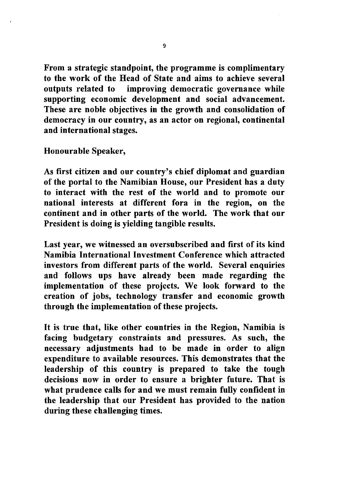From a strategic standpoint, the programme is complimentary to the work of the Head of State and aims to achieve several outputs related to improving democratic governance while supporting economic development and social advancement. These are noble objectives in the growth and consolidation of democracy in our country, as an actor on regional, continental and international stages.

Honourable Speaker,

As first citizen and our country's chief diplomat and guardian of the portal to the Namibian House, our President has a duty to interact with the rest of the world and to promote our national interests at different fora in the region, on the continent and in other parts of the world. The work that our President is doing is yielding tangible results.

Last year, we witnessed an oversubscribed and first of its kind Namibia International Investment Conference which attracted investors from different parts of the world. Several enquiries and follows ups have already been made regarding the implementation of these projects. We look forward to the creation of jobs, technology transfer and economic growth through the implementation of these projects.

It is true that, like other countries in the Region, Namibia is facing budgetary constraints and pressures. As such, the necessary adjustments had to be made in order to align expenditure to available resources. This demonstrates that the leadership of this country is prepared to take the tough decisions now in order to ensure a brighter future. That is what prudence calls for and we must remain fully confident in the leadership that our President has provided to the nation during these challenging times.